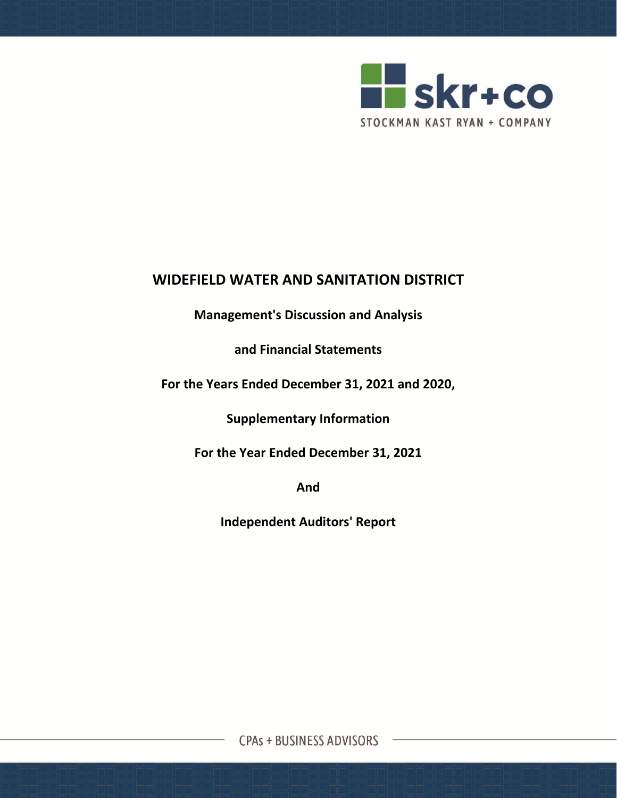

**Management's Discussion and Analysis**

**and Financial Statements**

**For the Years Ended December 31, 2021 and 2020,**

**Supplementary Information**

**For the Year Ended December 31, 2021**

**And**

**Independent Auditors' Report**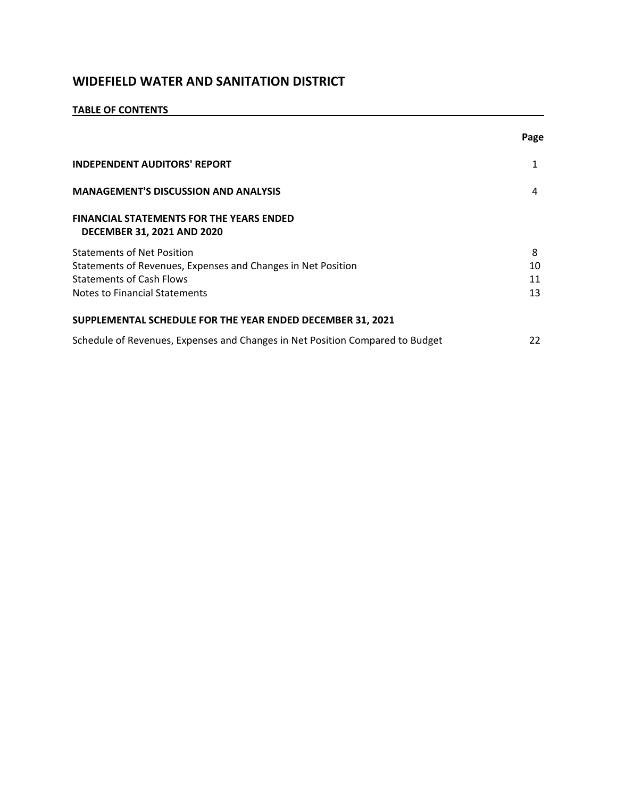| <b>TABLE OF CONTENTS</b>                                                      |      |
|-------------------------------------------------------------------------------|------|
|                                                                               | Page |
| <b>INDEPENDENT AUDITORS' REPORT</b>                                           | 1    |
| <b>MANAGEMENT'S DISCUSSION AND ANALYSIS</b>                                   | 4    |
| <b>FINANCIAL STATEMENTS FOR THE YEARS ENDED</b><br>DECEMBER 31, 2021 AND 2020 |      |
| <b>Statements of Net Position</b>                                             | 8    |
| Statements of Revenues, Expenses and Changes in Net Position                  | 10   |
| <b>Statements of Cash Flows</b>                                               | 11   |
| Notes to Financial Statements                                                 | 13   |
| SUPPLEMENTAL SCHEDULE FOR THE YEAR ENDED DECEMBER 31, 2021                    |      |
| Schedule of Revenues, Expenses and Changes in Net Position Compared to Budget | 22   |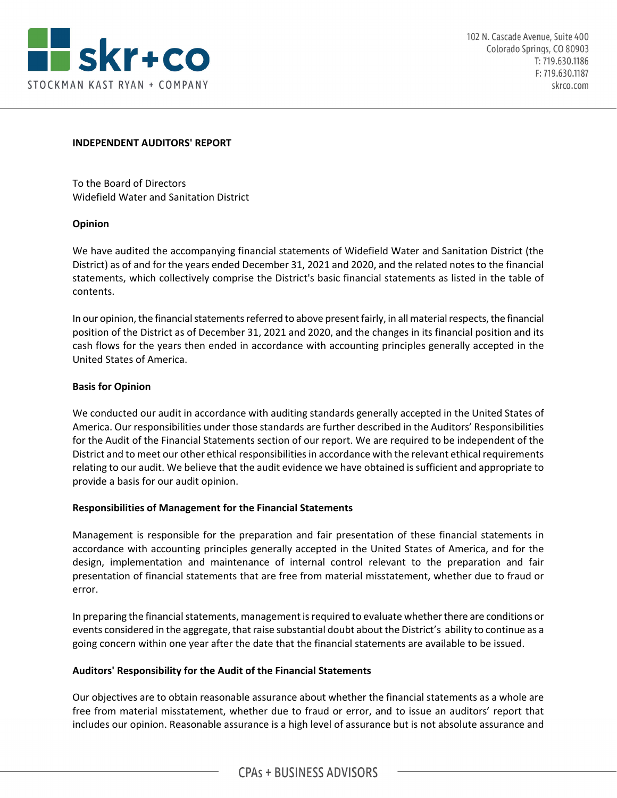

#### **INDEPENDENT AUDITORS' REPORT**

To the Board of Directors Widefield Water and Sanitation District

#### **Opinion**

We have audited the accompanying financial statements of Widefield Water and Sanitation District (the District) as of and for the years ended December 31, 2021 and 2020, and the related notes to the financial statements, which collectively comprise the District's basic financial statements as listed in the table of contents.

In our opinion, the financial statements referred to above present fairly, in all material respects, the financial position of the District as of December 31, 2021 and 2020, and the changes in its financial position and its cash flows for the years then ended in accordance with accounting principles generally accepted in the United States of America.

#### **Basis for Opinion**

We conducted our audit in accordance with auditing standards generally accepted in the United States of America. Our responsibilities under those standards are further described in the Auditors' Responsibilities for the Audit of the Financial Statements section of our report. We are required to be independent of the District and to meet our other ethical responsibilitiesin accordance with the relevant ethical requirements relating to our audit. We believe that the audit evidence we have obtained issufficient and appropriate to provide a basis for our audit opinion.

#### **Responsibilities of Management for the Financial Statements**

Management is responsible for the preparation and fair presentation of these financial statements in accordance with accounting principles generally accepted in the United States of America, and for the design, implementation and maintenance of internal control relevant to the preparation and fair presentation of financial statements that are free from material misstatement, whether due to fraud or error.

In preparing the financial statements, management is required to evaluate whether there are conditions or events considered in the aggregate, thatraise substantial doubt about the District's ability to continue as a going concern within one year after the date that the financial statements are available to be issued.

#### **Auditors' Responsibility for the Audit of the Financial Statements**

Our objectives are to obtain reasonable assurance about whether the financial statements as a whole are free from material misstatement, whether due to fraud or error, and to issue an auditors' report that includes our opinion. Reasonable assurance is a high level of assurance but is not absolute assurance and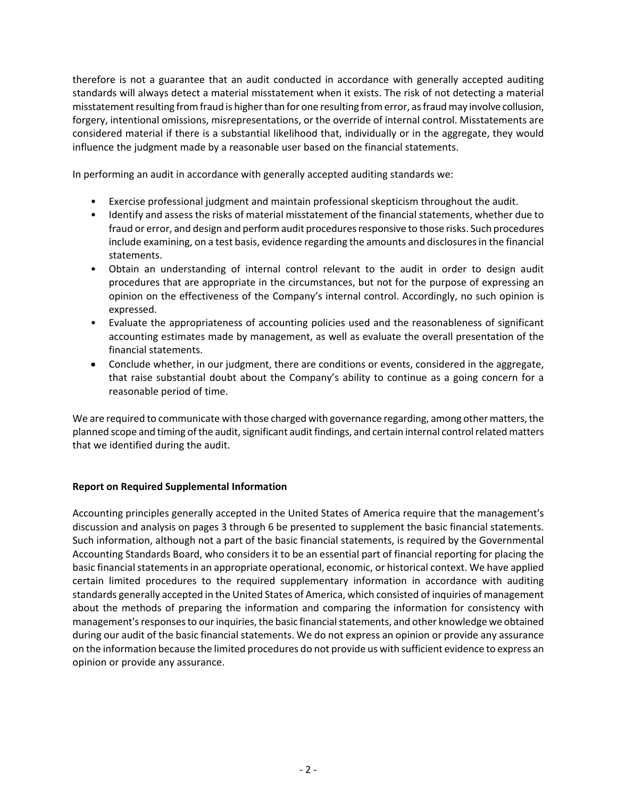therefore is not a guarantee that an audit conducted in accordance with generally accepted auditing standards will always detect a material misstatement when it exists. The risk of not detecting a material misstatement resulting from fraud is higher than for one resulting from error, as fraud may involve collusion, forgery, intentional omissions, misrepresentations, or the override of internal control. Misstatements are considered material if there is a substantial likelihood that, individually or in the aggregate, they would influence the judgment made by a reasonable user based on the financial statements.

In performing an audit in accordance with generally accepted auditing standards we:

- Exercise professional judgment and maintain professional skepticism throughout the audit.
- Identify and assess the risks of material misstatement of the financial statements, whether due to fraud or error, and design and perform audit procedures responsive to those risks. Such procedures include examining, on a test basis, evidence regarding the amounts and disclosures in the financial statements.
- Obtain an understanding of internal control relevant to the audit in order to design audit procedures that are appropriate in the circumstances, but not for the purpose of expressing an opinion on the effectiveness of the Company's internal control. Accordingly, no such opinion is expressed.
- Evaluate the appropriateness of accounting policies used and the reasonableness of significant accounting estimates made by management, as well as evaluate the overall presentation of the financial statements.
- Conclude whether, in our judgment, there are conditions or events, considered in the aggregate, that raise substantial doubt about the Company's ability to continue as a going concern for a reasonable period of time.

We are required to communicate with those charged with governance regarding, among other matters, the planned scope and timing of the audit, significant audit findings, and certain internal control related matters that we identified during the audit.

#### **Report on Required Supplemental Information**

Accounting principles generally accepted in the United States of America require that the management's discussion and analysis on pages 3 through 6 be presented to supplement the basic financial statements. Such information, although not a part of the basic financial statements, is required by the Governmental Accounting Standards Board, who considers it to be an essential part of financial reporting for placing the basic financial statements in an appropriate operational, economic, or historical context. We have applied certain limited procedures to the required supplementary information in accordance with auditing standards generally accepted in the United States of America, which consisted of inquiries of management about the methods of preparing the information and comparing the information for consistency with management's responses to our inquiries, the basic financial statements, and other knowledge we obtained during our audit of the basic financial statements. We do not express an opinion or provide any assurance on the information because the limited procedures do not provide us with sufficient evidence to express an opinion or provide any assurance.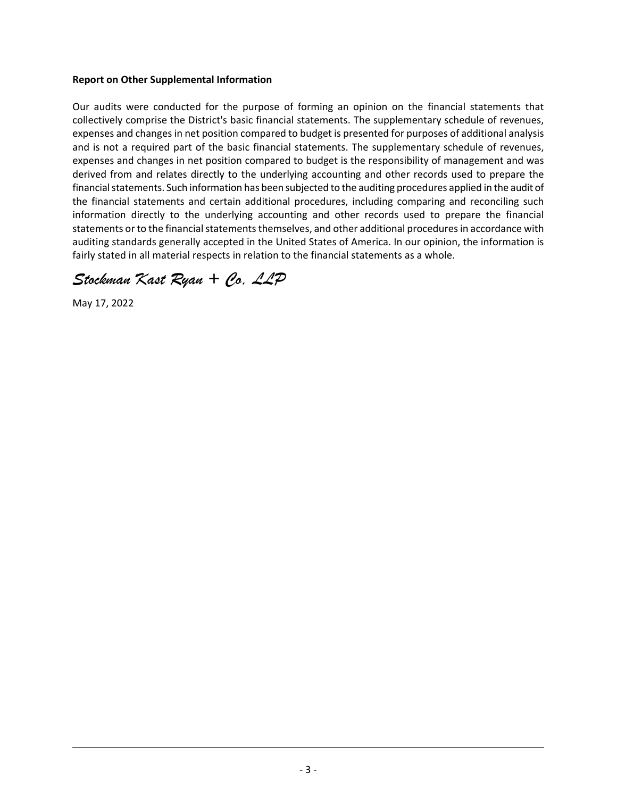### **Report on Other Supplemental Information**

Our audits were conducted for the purpose of forming an opinion on the financial statements that collectively comprise the District's basic financial statements. The supplementary schedule of revenues, expenses and changes in net position compared to budget is presented for purposes of additional analysis and is not a required part of the basic financial statements. The supplementary schedule of revenues, expenses and changes in net position compared to budget is the responsibility of management and was derived from and relates directly to the underlying accounting and other records used to prepare the financial statements. Such information has been subjected to the auditing procedures applied in the audit of the financial statements and certain additional procedures, including comparing and reconciling such information directly to the underlying accounting and other records used to prepare the financial statements or to the financial statements themselves, and other additional procedures in accordance with auditing standards generally accepted in the United States of America. In our opinion, the information is fairly stated in all material respects in relation to the financial statements as a whole.

# *Stockman Kast Ryan + Co, LLP*

May 17, 2022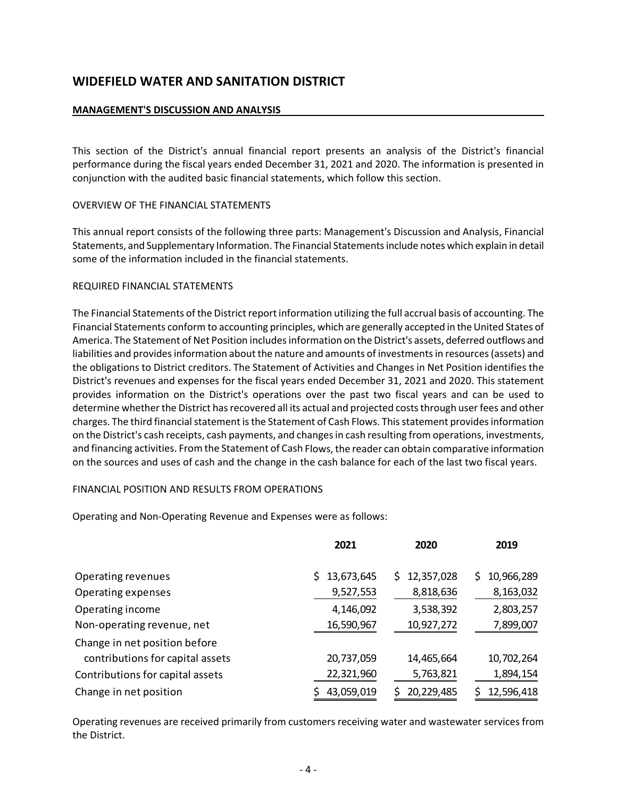### **MANAGEMENT'S DISCUSSION AND ANALYSIS**

This section of the District's annual financial report presents an analysis of the District's financial performance during the fiscal years ended December 31, 2021 and 2020. The information is presented in conjunction with the audited basic financial statements, which follow this section.

#### OVERVIEW OF THE FINANCIAL STATEMENTS

This annual report consists of the following three parts: Management's Discussion and Analysis, Financial Statements, and Supplementary Information. The Financial Statementsinclude notes which explain in detail some of the information included in the financial statements.

#### REQUIRED FINANCIAL STATEMENTS

The Financial Statements of the District report information utilizing the full accrual basis of accounting. The Financial Statements conform to accounting principles, which are generally accepted in the United States of America. The Statement of Net Position includesinformation on the District's assets, deferred outflows and liabilities and provides information about the nature and amounts of investments in resources (assets) and the obligations to District creditors. The Statement of Activities and Changes in Net Position identifies the District's revenues and expenses for the fiscal years ended December 31, 2021 and 2020. This statement provides information on the District's operations over the past two fiscal years and can be used to determine whether the District has recovered all its actual and projected costs through user fees and other charges. The third financial statement is the Statement of Cash Flows. This statement provides information on the District's cash receipts, cash payments, and changesin cash resulting from operations, investments, and financing activities. From the Statement of Cash Flows, the reader can obtain comparative information on the sources and uses of cash and the change in the cash balance for each of the last two fiscal years.

#### FINANCIAL POSITION AND RESULTS FROM OPERATIONS

Operating and Non‐Operating Revenue and Expenses were as follows:

|                                  | 2021             | 2020             | 2019              |
|----------------------------------|------------------|------------------|-------------------|
| <b>Operating revenues</b>        | 13,673,645<br>S. | 12,357,028<br>S. | 10,966,289<br>\$. |
| Operating expenses               | 9,527,553        | 8,818,636        | 8,163,032         |
| Operating income                 | 4,146,092        | 3,538,392        | 2,803,257         |
| Non-operating revenue, net       | 16,590,967       | 10,927,272       | 7,899,007         |
| Change in net position before    |                  |                  |                   |
| contributions for capital assets | 20,737,059       | 14,465,664       | 10,702,264        |
| Contributions for capital assets | 22,321,960       | 5,763,821        | 1,894,154         |
| Change in net position           | 43,059,019       | 20,229,485       | 12,596,418        |

Operating revenues are received primarily from customers receiving water and wastewater services from the District.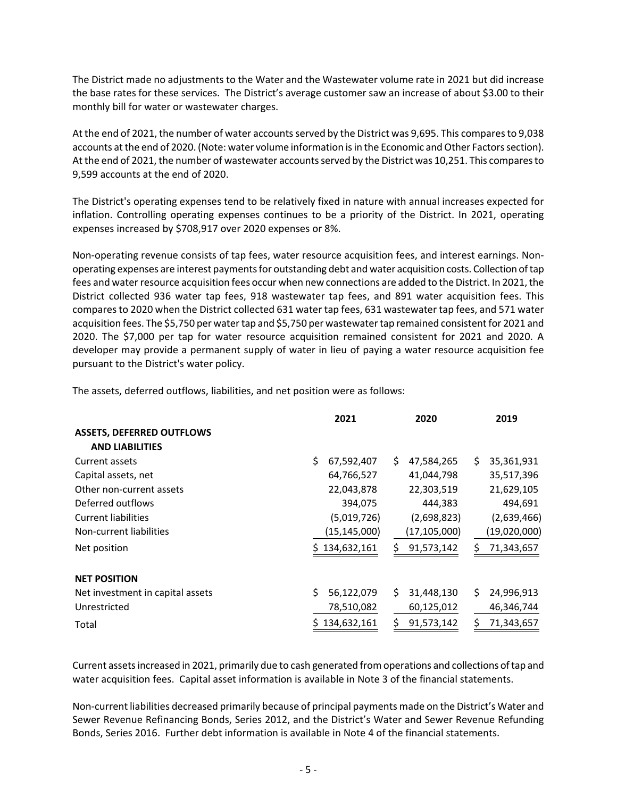The District made no adjustments to the Water and the Wastewater volume rate in 2021 but did increase the base rates for these services. The District's average customer saw an increase of about \$3.00 to their monthly bill for water or wastewater charges.

At the end of 2021, the number of water accounts served by the District was 9,695. This compares to 9,038 accounts at the end of 2020. (Note: water volume information is in the Economic and Other Factors section). Atthe end of 2021, the number of wastewater accountsserved by the District was 10,251. This comparesto 9,599 accounts at the end of 2020.

The District's operating expenses tend to be relatively fixed in nature with annual increases expected for inflation. Controlling operating expenses continues to be a priority of the District. In 2021, operating expenses increased by \$708,917 over 2020 expenses or 8%.

Non-operating revenue consists of tap fees, water resource acquisition fees, and interest earnings. Nonoperating expenses are interest payments for outstanding debt and water acquisition costs. Collection of tap fees and water resource acquisition fees occur when new connections are added to the District. In 2021, the District collected 936 water tap fees, 918 wastewater tap fees, and 891 water acquisition fees. This comparesto 2020 when the District collected 631 water tap fees, 631 wastewater tap fees, and 571 water acquisition fees. The \$5,750 per water tap and \$5,750 per wastewater tap remained consistent for 2021 and 2020. The \$7,000 per tap for water resource acquisition remained consistent for 2021 and 2020. A developer may provide a permanent supply of water in lieu of paying a water resource acquisition fee pursuant to the District's water policy.

|                                  | 2021             | 2020             | 2019             |
|----------------------------------|------------------|------------------|------------------|
| <b>ASSETS, DEFERRED OUTFLOWS</b> |                  |                  |                  |
| <b>AND LIABILITIES</b>           |                  |                  |                  |
| Current assets                   | Ś.<br>67,592,407 | Ś<br>47,584,265  | Ś<br>35,361,931  |
| Capital assets, net              | 64,766,527       | 41,044,798       | 35,517,396       |
| Other non-current assets         | 22,043,878       | 22,303,519       | 21,629,105       |
| Deferred outflows                | 394,075          | 444,383          | 494,691          |
| <b>Current liabilities</b>       | (5,019,726)      | (2,698,823)      | (2,639,466)      |
| Non-current liabilities          | (15, 145, 000)   | (17, 105, 000)   | (19,020,000)     |
| Net position                     | 134,632,161      | 91,573,142<br>S. | Ś<br>71,343,657  |
| <b>NET POSITION</b>              |                  |                  |                  |
| Net investment in capital assets | Ś.<br>56,122,079 | Ś.<br>31,448,130 | \$<br>24,996,913 |
| Unrestricted                     | 78,510,082       | 60,125,012       | 46,346,744       |
| Total                            | 134,632,161      | 91,573,142       | 71,343,657       |

The assets, deferred outflows, liabilities, and net position were as follows:

Current assetsincreased in 2021, primarily due to cash generated fromoperations and collections oftap and water acquisition fees. Capital asset information is available in Note 3 of the financial statements.

Non-current liabilities decreased primarily because of principal payments made on the District's Water and Sewer Revenue Refinancing Bonds, Series 2012, and the District's Water and Sewer Revenue Refunding Bonds, Series 2016. Further debt information is available in Note 4 of the financial statements.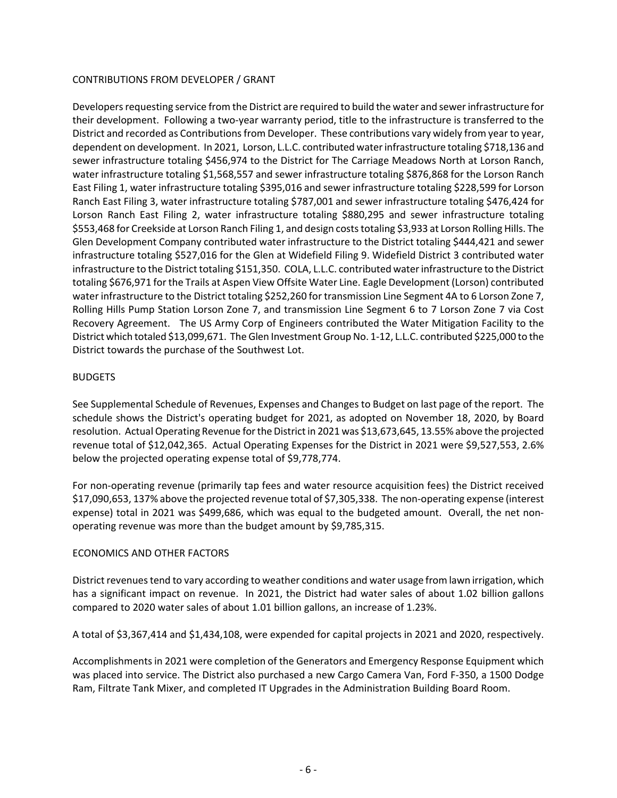### CONTRIBUTIONS FROM DEVELOPER / GRANT

Developers requesting service from the District are required to build the water and sewer infrastructure for their development. Following a two‐year warranty period, title to the infrastructure is transferred to the District and recorded as Contributions from Developer. These contributions vary widely from year to year, dependent on development. In 2021, Lorson, L.L.C. contributed waterinfrastructure totaling \$718,136 and sewer infrastructure totaling \$456,974 to the District for The Carriage Meadows North at Lorson Ranch, water infrastructure totaling \$1,568,557 and sewer infrastructure totaling \$876,868 for the Lorson Ranch East Filing 1, water infrastructure totaling \$395,016 and sewer infrastructure totaling \$228,599 for Lorson Ranch East Filing 3, water infrastructure totaling \$787,001 and sewer infrastructure totaling \$476,424 for Lorson Ranch East Filing 2, water infrastructure totaling \$880,295 and sewer infrastructure totaling \$553,468 for Creekside at Lorson Ranch Filing 1, and design costs totaling \$3,933 at Lorson Rolling Hills. The Glen Development Company contributed water infrastructure to the District totaling \$444,421 and sewer infrastructure totaling \$527,016 for the Glen at Widefield Filing 9. Widefield District 3 contributed water infrastructure to the District totaling \$151,350. COLA, L.L.C. contributed waterinfrastructure to the District totaling \$676,971 for the Trails at Aspen View Offsite Water Line. Eagle Development (Lorson) contributed water infrastructure to the District totaling \$252,260 for transmission Line Segment 4A to 6 Lorson Zone 7, Rolling Hills Pump Station Lorson Zone 7, and transmission Line Segment 6 to 7 Lorson Zone 7 via Cost Recovery Agreement. The US Army Corp of Engineers contributed the Water Mitigation Facility to the District which totaled \$13,099,671. The Glen Investment Group No. 1-12, L.L.C. contributed \$225,000 to the District towards the purchase of the Southwest Lot.

#### **BUDGETS**

See Supplemental Schedule of Revenues, Expenses and Changes to Budget on last page of the report. The schedule shows the District's operating budget for 2021, as adopted on November 18, 2020, by Board resolution. Actual Operating Revenue for the District in 2021 was \$13,673,645, 13.55% above the projected revenue total of \$12,042,365. Actual Operating Expenses for the District in 2021 were \$9,527,553, 2.6% below the projected operating expense total of \$9,778,774.

For non‐operating revenue (primarily tap fees and water resource acquisition fees) the District received \$17,090,653, 137% above the projected revenue total of \$7,305,338. The non‐operating expense (interest expense) total in 2021 was \$499,686, which was equal to the budgeted amount. Overall, the net nonoperating revenue was more than the budget amount by \$9,785,315.

#### ECONOMICS AND OTHER FACTORS

District revenues tend to vary according to weather conditions and water usage from lawn irrigation, which has a significant impact on revenue. In 2021, the District had water sales of about 1.02 billion gallons compared to 2020 water sales of about 1.01 billion gallons, an increase of 1.23%.

A total of \$3,367,414 and \$1,434,108, were expended for capital projects in 2021 and 2020, respectively.

Accomplishments in 2021 were completion of the Generators and Emergency Response Equipment which was placed into service. The District also purchased a new Cargo Camera Van, Ford F‐350, a 1500 Dodge Ram, Filtrate Tank Mixer, and completed IT Upgrades in the Administration Building Board Room.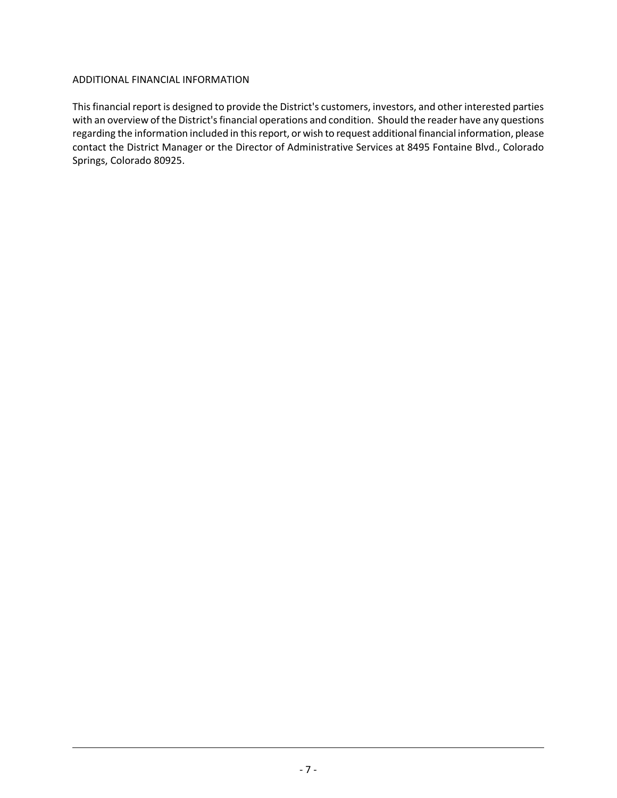### ADDITIONAL FINANCIAL INFORMATION

This financial report is designed to provide the District's customers, investors, and other interested parties with an overview of the District's financial operations and condition. Should the reader have any questions regarding the information included in this report, or wish to request additional financial information, please contact the District Manager or the Director of Administrative Services at 8495 Fontaine Blvd., Colorado Springs, Colorado 80925.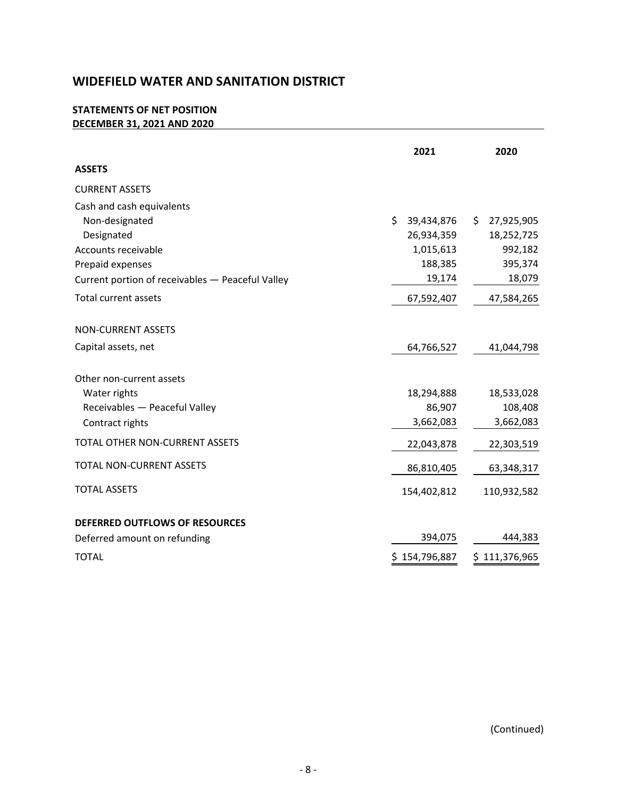### **STATEMENTS OF NET POSITION DECEMBER 31, 2021 AND 2020**

|                                                  | 2021             |     | 2020          |
|--------------------------------------------------|------------------|-----|---------------|
| <b>ASSETS</b>                                    |                  |     |               |
| <b>CURRENT ASSETS</b>                            |                  |     |               |
| Cash and cash equivalents                        |                  |     |               |
| Non-designated                                   | \$<br>39,434,876 | \$. | 27,925,905    |
| Designated                                       | 26,934,359       |     | 18,252,725    |
| Accounts receivable                              | 1,015,613        |     | 992,182       |
| Prepaid expenses                                 | 188,385          |     | 395,374       |
| Current portion of receivables - Peaceful Valley | 19,174           |     | 18,079        |
| <b>Total current assets</b>                      | 67,592,407       |     | 47,584,265    |
| <b>NON-CURRENT ASSETS</b>                        |                  |     |               |
| Capital assets, net                              | 64,766,527       |     | 41,044,798    |
| Other non-current assets                         |                  |     |               |
| Water rights                                     | 18,294,888       |     | 18,533,028    |
| Receivables - Peaceful Valley                    | 86,907           |     | 108,408       |
| Contract rights                                  | 3,662,083        |     | 3,662,083     |
| TOTAL OTHER NON-CURRENT ASSETS                   | 22,043,878       |     | 22,303,519    |
| TOTAL NON-CURRENT ASSETS                         | 86,810,405       |     | 63,348,317    |
| <b>TOTAL ASSETS</b>                              | 154,402,812      |     | 110,932,582   |
| DEFERRED OUTFLOWS OF RESOURCES                   |                  |     |               |
| Deferred amount on refunding                     | 394,075          |     | 444,383       |
| <b>TOTAL</b>                                     | \$154,796,887    |     | \$111,376,965 |
|                                                  |                  |     |               |

(Continued)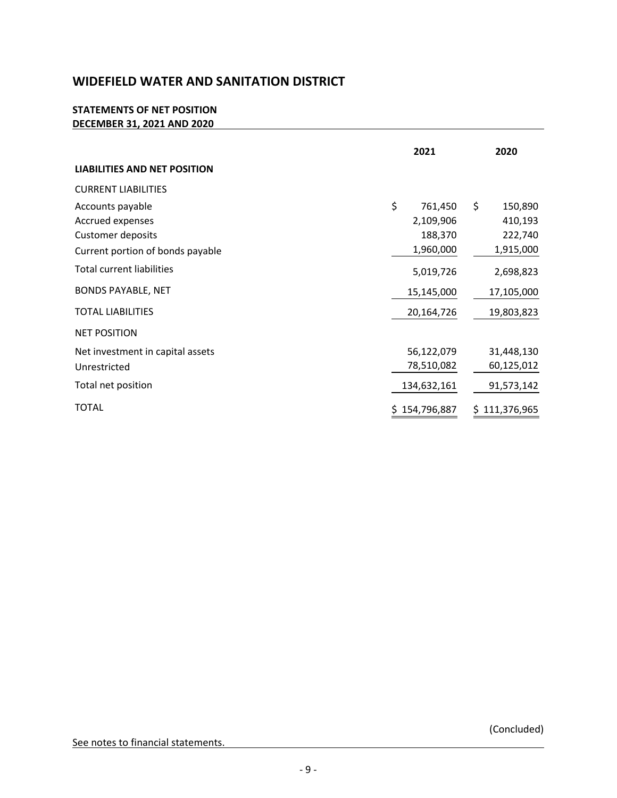#### **STATEMENTS OF NET POSITION DECEMBER 31, 2021 AND 2020**

|                                     | 2021          | 2020          |
|-------------------------------------|---------------|---------------|
| <b>LIABILITIES AND NET POSITION</b> |               |               |
| <b>CURRENT LIABILITIES</b>          |               |               |
| Accounts payable                    | \$<br>761,450 | \$<br>150,890 |
| Accrued expenses                    | 2,109,906     | 410,193       |
| <b>Customer deposits</b>            | 188,370       | 222,740       |
| Current portion of bonds payable    | 1,960,000     | 1,915,000     |
| <b>Total current liabilities</b>    | 5,019,726     | 2,698,823     |
| <b>BONDS PAYABLE, NET</b>           | 15,145,000    | 17,105,000    |
| <b>TOTAL LIABILITIES</b>            | 20,164,726    | 19,803,823    |
| <b>NET POSITION</b>                 |               |               |
| Net investment in capital assets    | 56,122,079    | 31,448,130    |
| Unrestricted                        | 78,510,082    | 60,125,012    |
| Total net position                  | 134,632,161   | 91,573,142    |
| TOTAL                               | 154,796,887   | \$111,376,965 |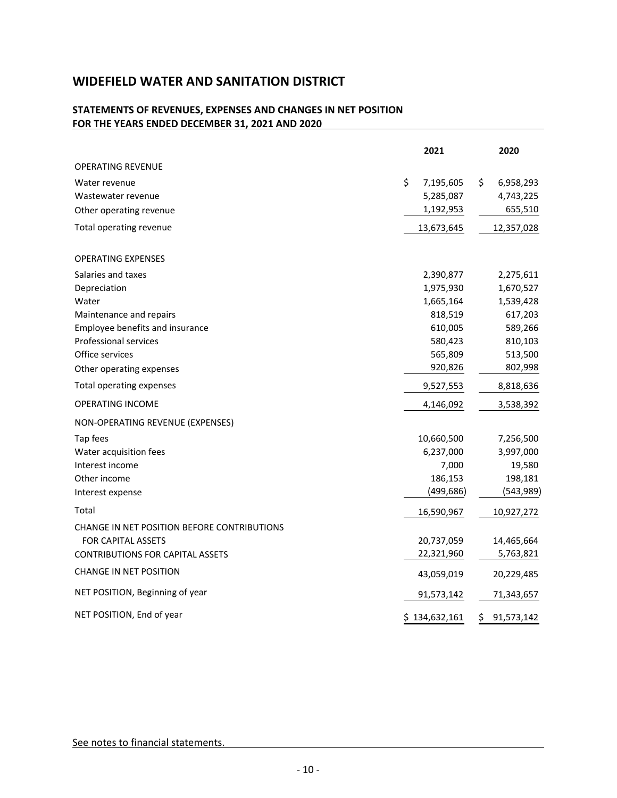### **STATEMENTS OF REVENUES, EXPENSES AND CHANGES IN NET POSITION FOR THE YEARS ENDED DECEMBER 31, 2021 AND 2020**

|                                             | 2021            | 2020             |
|---------------------------------------------|-----------------|------------------|
| <b>OPERATING REVENUE</b>                    |                 |                  |
| Water revenue                               | \$<br>7,195,605 | \$<br>6,958,293  |
| Wastewater revenue                          | 5,285,087       | 4,743,225        |
| Other operating revenue                     | 1,192,953       | 655,510          |
| Total operating revenue                     | 13,673,645      | 12,357,028       |
| <b>OPERATING EXPENSES</b>                   |                 |                  |
| Salaries and taxes                          | 2,390,877       | 2,275,611        |
| Depreciation                                | 1,975,930       | 1,670,527        |
| Water                                       | 1,665,164       | 1,539,428        |
| Maintenance and repairs                     | 818,519         | 617,203          |
| Employee benefits and insurance             | 610,005         | 589,266          |
| Professional services                       | 580,423         | 810,103          |
| Office services                             | 565,809         | 513,500          |
| Other operating expenses                    | 920,826         | 802,998          |
| Total operating expenses                    | 9,527,553       | 8,818,636        |
| OPERATING INCOME                            | 4,146,092       | 3,538,392        |
| NON-OPERATING REVENUE (EXPENSES)            |                 |                  |
| Tap fees                                    | 10,660,500      | 7,256,500        |
| Water acquisition fees                      | 6,237,000       | 3,997,000        |
| Interest income                             | 7,000           | 19,580           |
| Other income                                | 186,153         | 198,181          |
| Interest expense                            | (499, 686)      | (543,989)        |
| Total                                       | 16,590,967      | 10,927,272       |
| CHANGE IN NET POSITION BEFORE CONTRIBUTIONS |                 |                  |
| <b>FOR CAPITAL ASSETS</b>                   | 20,737,059      | 14,465,664       |
| <b>CONTRIBUTIONS FOR CAPITAL ASSETS</b>     | 22,321,960      | 5,763,821        |
| CHANGE IN NET POSITION                      | 43,059,019      | 20,229,485       |
| NET POSITION, Beginning of year             | 91,573,142      | 71,343,657       |
| NET POSITION, End of year                   | \$134,632,161   | \$<br>91,573,142 |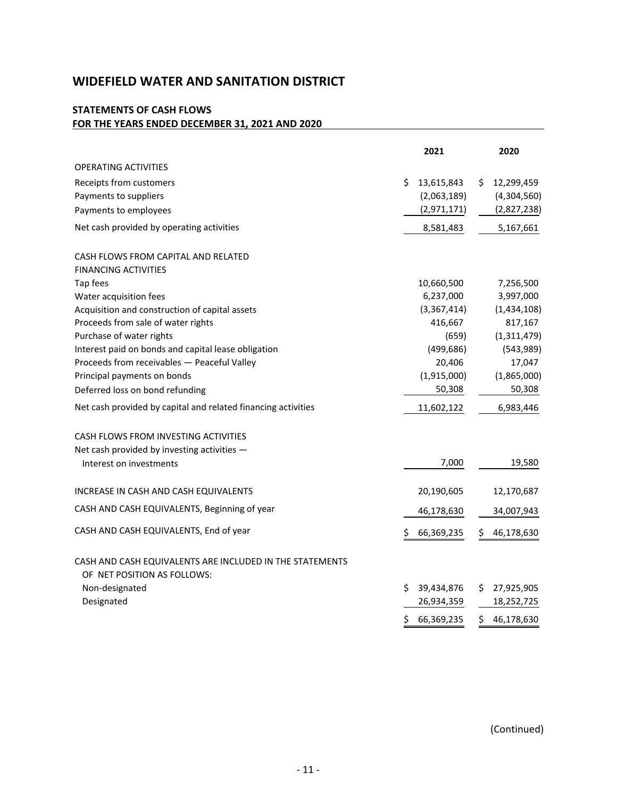### **STATEMENTS OF CASH FLOWS FOR THE YEARS ENDED DECEMBER 31, 2021 AND 2020**

|                                                                                         | 2021                                            | 2020                                           |
|-----------------------------------------------------------------------------------------|-------------------------------------------------|------------------------------------------------|
| <b>OPERATING ACTIVITIES</b>                                                             |                                                 |                                                |
| Receipts from customers<br>Payments to suppliers<br>Payments to employees               | 13,615,843<br>\$.<br>(2,063,189)<br>(2,971,171) | S.<br>12,299,459<br>(4,304,560)<br>(2,827,238) |
| Net cash provided by operating activities                                               | 8,581,483                                       | 5,167,661                                      |
| CASH FLOWS FROM CAPITAL AND RELATED<br><b>FINANCING ACTIVITIES</b>                      |                                                 |                                                |
| Tap fees                                                                                | 10,660,500                                      | 7,256,500                                      |
| Water acquisition fees                                                                  | 6,237,000                                       | 3,997,000                                      |
| Acquisition and construction of capital assets                                          | (3,367,414)                                     | (1,434,108)                                    |
| Proceeds from sale of water rights                                                      | 416,667                                         | 817,167                                        |
| Purchase of water rights                                                                | (659)                                           | (1,311,479)                                    |
| Interest paid on bonds and capital lease obligation                                     | (499, 686)                                      | (543,989)                                      |
| Proceeds from receivables - Peaceful Valley                                             | 20,406                                          | 17,047                                         |
| Principal payments on bonds                                                             | (1,915,000)                                     | (1,865,000)                                    |
| Deferred loss on bond refunding                                                         | 50,308                                          | 50,308                                         |
| Net cash provided by capital and related financing activities                           | 11,602,122                                      | 6,983,446                                      |
| CASH FLOWS FROM INVESTING ACTIVITIES<br>Net cash provided by investing activities -     |                                                 |                                                |
| Interest on investments                                                                 | 7,000                                           | 19,580                                         |
| INCREASE IN CASH AND CASH EQUIVALENTS                                                   | 20,190,605                                      | 12,170,687                                     |
| CASH AND CASH EQUIVALENTS, Beginning of year                                            | 46,178,630                                      | 34,007,943                                     |
| CASH AND CASH EQUIVALENTS, End of year                                                  | S<br>66,369,235                                 | \$<br>46,178,630                               |
| CASH AND CASH EQUIVALENTS ARE INCLUDED IN THE STATEMENTS<br>OF NET POSITION AS FOLLOWS: |                                                 |                                                |
| Non-designated<br>Designated                                                            | 39,434,876<br>\$.<br>26,934,359                 | 27,925,905<br>\$.<br>18,252,725                |
|                                                                                         | \$<br>66,369,235                                | \$<br>46,178,630                               |

(Continued)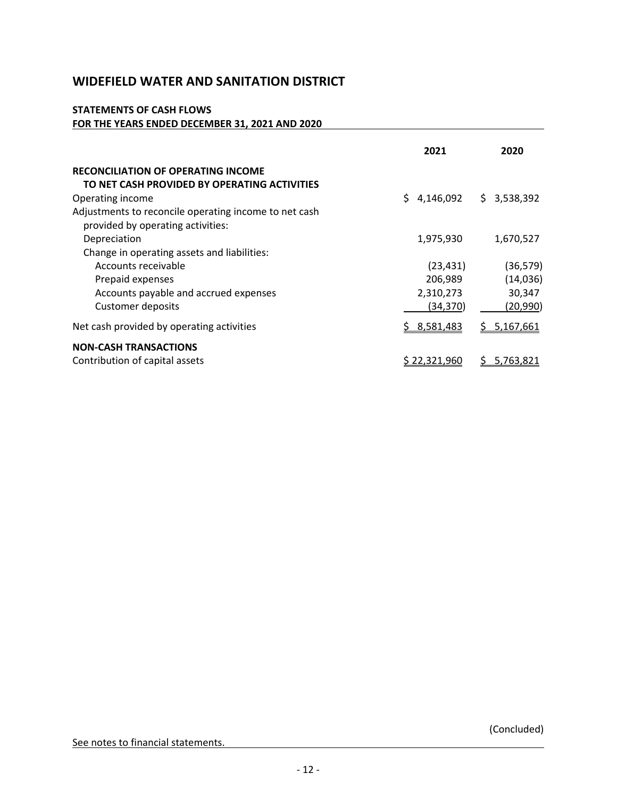### **STATEMENTS OF CASH FLOWS**

### **FOR THE YEARS ENDED DECEMBER 31, 2021 AND 2020**

|                                                                                            | 2021            | 2020            |
|--------------------------------------------------------------------------------------------|-----------------|-----------------|
| <b>RECONCILIATION OF OPERATING INCOME</b><br>TO NET CASH PROVIDED BY OPERATING ACTIVITIES  |                 |                 |
| Operating income                                                                           | Ś.<br>4,146,092 | \$3,538,392     |
| Adjustments to reconcile operating income to net cash<br>provided by operating activities: |                 |                 |
| Depreciation                                                                               | 1,975,930       | 1,670,527       |
| Change in operating assets and liabilities:                                                |                 |                 |
| Accounts receivable                                                                        | (23, 431)       | (36, 579)       |
| Prepaid expenses                                                                           | 206,989         | (14,036)        |
| Accounts payable and accrued expenses                                                      | 2,310,273       | 30,347          |
| <b>Customer deposits</b>                                                                   | (34,370)        | (20, 990)       |
| Net cash provided by operating activities                                                  | 8,581,483<br>S. | \$5,167,661     |
| <b>NON-CASH TRANSACTIONS</b>                                                               |                 |                 |
| Contribution of capital assets                                                             | \$22,321,960    | 5,763,821<br>S. |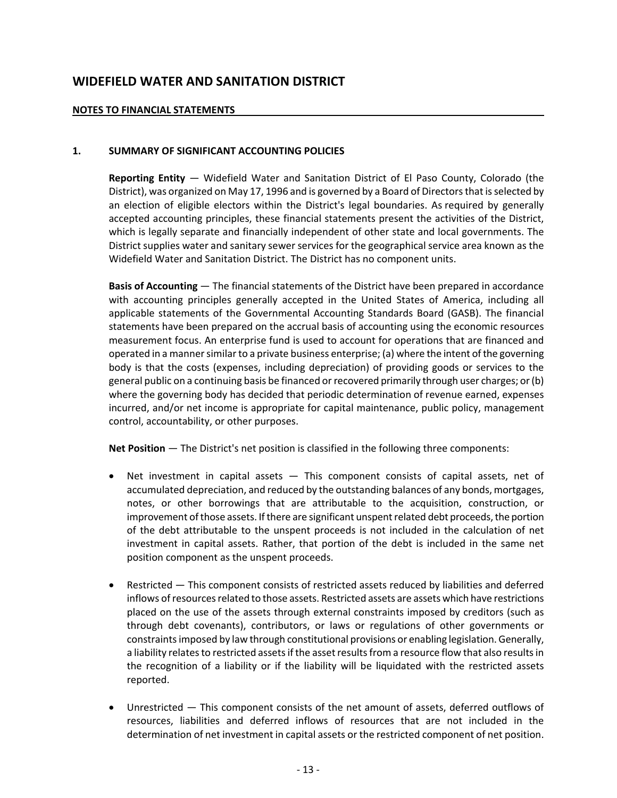### **NOTES TO FINANCIAL STATEMENTS**

### **1. SUMMARY OF SIGNIFICANT ACCOUNTING POLICIES**

**Reporting Entity** — Widefield Water and Sanitation District of El Paso County, Colorado (the District), was organized on May 17, 1996 and is governed by a Board of Directors that is selected by an election of eligible electors within the District's legal boundaries. As required by generally accepted accounting principles, these financial statements present the activities of the District, which is legally separate and financially independent of other state and local governments. The District supplies water and sanitary sewer services for the geographical service area known as the Widefield Water and Sanitation District. The District has no component units.

**Basis of Accounting** — The financial statements of the District have been prepared in accordance with accounting principles generally accepted in the United States of America, including all applicable statements of the Governmental Accounting Standards Board (GASB). The financial statements have been prepared on the accrual basis of accounting using the economic resources measurement focus. An enterprise fund is used to account for operations that are financed and operated in a manner similar to a private business enterprise; (a) where the intent of the governing body is that the costs (expenses, including depreciation) of providing goods or services to the general public on a continuing basis be financed orrecovered primarily through user charges; or(b) where the governing body has decided that periodic determination of revenue earned, expenses incurred, and/or net income is appropriate for capital maintenance, public policy, management control, accountability, or other purposes.

**Net Position** — The District's net position is classified in the following three components:

- Net investment in capital assets This component consists of capital assets, net of accumulated depreciation, and reduced by the outstanding balances of any bonds, mortgages, notes, or other borrowings that are attributable to the acquisition, construction, or improvement of those assets. If there are significant unspent related debt proceeds, the portion of the debt attributable to the unspent proceeds is not included in the calculation of net investment in capital assets. Rather, that portion of the debt is included in the same net position component as the unspent proceeds.
- Restricted This component consists of restricted assets reduced by liabilities and deferred inflows ofresourcesrelated to those assets. Restricted assets are assets which have restrictions placed on the use of the assets through external constraints imposed by creditors (such as through debt covenants), contributors, or laws or regulations of other governments or constraintsimposed by law through constitutional provisions or enabling legislation. Generally, a liability relates to restricted assets if the asset results from a resource flow that also results in the recognition of a liability or if the liability will be liquidated with the restricted assets reported.
- Unrestricted This component consists of the net amount of assets, deferred outflows of resources, liabilities and deferred inflows of resources that are not included in the determination of net investment in capital assets or the restricted component of net position.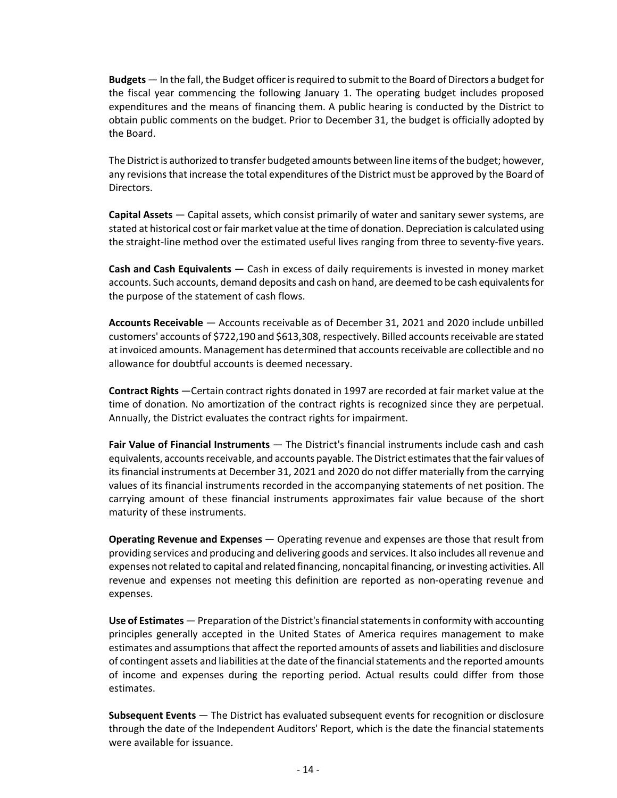**Budgets** — In the fall, the Budget officer is required to submit to the Board of Directors a budget for the fiscal year commencing the following January 1. The operating budget includes proposed expenditures and the means of financing them. A public hearing is conducted by the District to obtain public comments on the budget. Prior to December 31, the budget is officially adopted by the Board.

The District is authorized to transfer budgeted amounts between line items of the budget; however, any revisions that increase the total expenditures of the District must be approved by the Board of Directors.

**Capital Assets** — Capital assets, which consist primarily of water and sanitary sewer systems, are stated at historical cost orfair market value atthe time of donation. Depreciation is calculated using the straight‐line method over the estimated useful lives ranging from three to seventy‐five years.

**Cash and Cash Equivalents** — Cash in excess of daily requirements is invested in money market accounts. Such accounts, demand deposits and cash on hand, are deemed to be cash equivalentsfor the purpose of the statement of cash flows.

**Accounts Receivable** — Accounts receivable as of December 31, 2021 and 2020 include unbilled customers' accounts of \$722,190 and \$613,308, respectively. Billed accounts receivable are stated at invoiced amounts. Management has determined that accounts receivable are collectible and no allowance for doubtful accounts is deemed necessary.

**Contract Rights** —Certain contract rights donated in 1997 are recorded at fair market value at the time of donation. No amortization of the contract rights is recognized since they are perpetual. Annually, the District evaluates the contract rights for impairment.

**Fair Value of Financial Instruments** — The District's financial instruments include cash and cash equivalents, accounts receivable, and accounts payable. The District estimates that the fair values of itsfinancial instruments at December 31, 2021 and 2020 do not differ materially from the carrying values of its financial instruments recorded in the accompanying statements of net position. The carrying amount of these financial instruments approximates fair value because of the short maturity of these instruments.

**Operating Revenue and Expenses** — Operating revenue and expenses are those that result from providing services and producing and delivering goods and services. It also includes allrevenue and expenses not related to capital and related financing, noncapital financing, or investing activities. All revenue and expenses not meeting this definition are reported as non‐operating revenue and expenses.

**Use of Estimates** — Preparation of the District'sfinancialstatementsin conformity with accounting principles generally accepted in the United States of America requires management to make estimates and assumptions that affect the reported amounts of assets and liabilities and disclosure of contingent assets and liabilities at the date of the financial statements and the reported amounts of income and expenses during the reporting period. Actual results could differ from those estimates.

**Subsequent Events** — The District has evaluated subsequent events for recognition or disclosure through the date of the Independent Auditors' Report, which is the date the financial statements were available for issuance.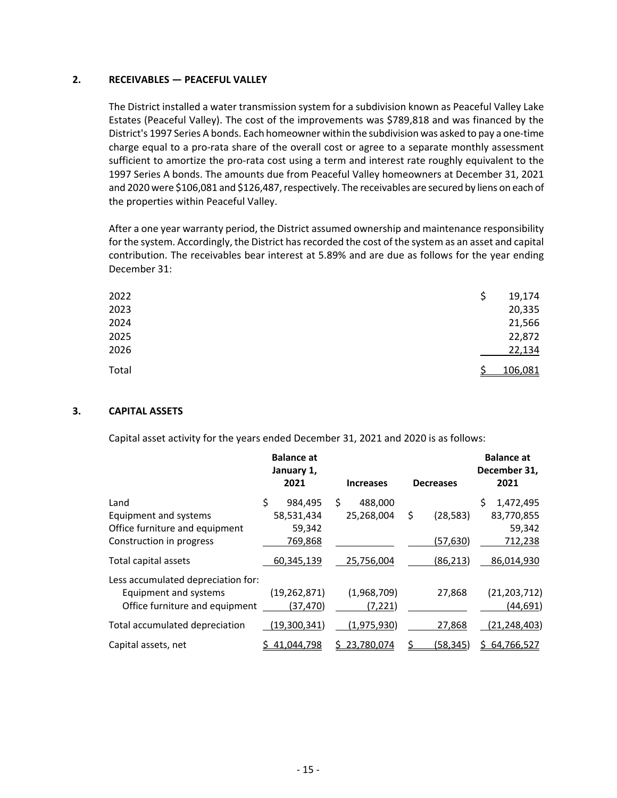#### **2. RECEIVABLES — PEACEFUL VALLEY**

The District installed a water transmission system for a subdivision known as Peaceful Valley Lake Estates (Peaceful Valley). The cost of the improvements was \$789,818 and was financed by the District's 1997 Series A bonds. Each homeowner within the subdivision was asked to pay a one‐time charge equal to a pro‐rata share of the overall cost or agree to a separate monthly assessment sufficient to amortize the pro-rata cost using a term and interest rate roughly equivalent to the 1997 Series A bonds. The amounts due from Peaceful Valley homeowners at December 31, 2021 and 2020 were \$106,081 and \$126,487, respectively. The receivables are secured by liens on each of the properties within Peaceful Valley.

After a one year warranty period, the District assumed ownership and maintenance responsibility for the system. Accordingly, the District has recorded the cost of the system as an asset and capital contribution. The receivables bear interest at 5.89% and are due as follows for the year ending December 31:

| 2022  | S | 19,174  |
|-------|---|---------|
| 2023  |   | 20,335  |
| 2024  |   | 21,566  |
| 2025  |   | 22,872  |
| 2026  |   | 22,134  |
| Total |   | 106,081 |

#### **3. CAPITAL ASSETS**

Capital asset activity for the years ended December 31, 2021 and 2020 is as follows:

|                                                                                               | <b>Balance at</b><br>January 1,<br>2021 | <b>Increases</b>           | <b>Decreases</b> | <b>Balance at</b><br>December 31,<br>2021 |
|-----------------------------------------------------------------------------------------------|-----------------------------------------|----------------------------|------------------|-------------------------------------------|
| Land<br>Equipment and systems<br>Office furniture and equipment                               | \$<br>984,495<br>58,531,434<br>59,342   | Ś<br>488,000<br>25,268,004 | \$<br>(28, 583)  | \$<br>1,472,495<br>83,770,855<br>59,342   |
| Construction in progress                                                                      | 769,868                                 |                            | (57, 630)        | 712,238                                   |
| Total capital assets                                                                          | 60,345,139                              | 25,756,004                 | (86, 213)        | 86,014,930                                |
| Less accumulated depreciation for:<br>Equipment and systems<br>Office furniture and equipment | (19, 262, 871)<br>(37,470)              | (1,968,709)<br>(7, 221)    | 27,868           | (21, 203, 712)<br>(44,691)                |
| Total accumulated depreciation                                                                | (19,300,341)                            | (1,975,930)                | 27,868           | (21, 248, 403)                            |
| Capital assets, net                                                                           | 41,044,798                              | 23,780,074<br>ς            | <u>(58,345)</u>  | 64,766,527<br>S.                          |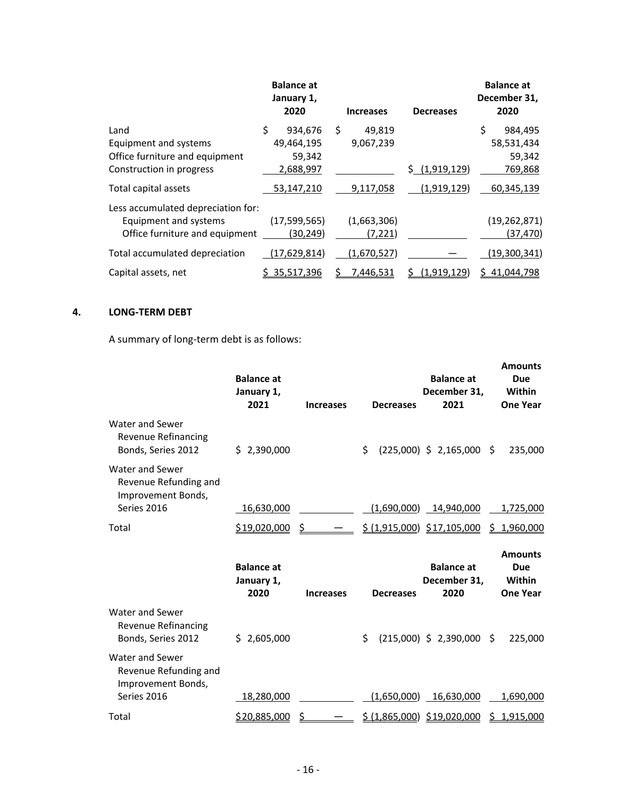|                                                                                               | <b>Balance at</b><br>January 1,<br>2020            | <b>Increases</b>          | <b>Decreases</b> | <b>Balance at</b><br>December 31,<br>2020        |
|-----------------------------------------------------------------------------------------------|----------------------------------------------------|---------------------------|------------------|--------------------------------------------------|
| Land<br>Equipment and systems<br>Office furniture and equipment<br>Construction in progress   | \$<br>934,676<br>49,464,195<br>59,342<br>2,688,997 | Ŝ.<br>49,819<br>9,067,239 | \$(1,919,129)    | \$<br>984,495<br>58,531,434<br>59,342<br>769,868 |
| Total capital assets                                                                          | 53,147,210                                         | 9,117,058                 | (1,919,129)      | 60,345,139                                       |
| Less accumulated depreciation for:<br>Equipment and systems<br>Office furniture and equipment | (17, 599, 565)<br>(30, 249)                        | (1,663,306)<br>(7, 221)   |                  | (19, 262, 871)<br>(37, 470)                      |
| Total accumulated depreciation                                                                | (17,629,814)                                       | (1,670,527)               |                  | (19,300,341)                                     |
| Capital assets, net                                                                           | 35,517,396                                         | 7,446,531                 | (1,919,129)      | 41,044,798                                       |

### **4. LONG‐TERM DEBT**

A summary of long‐term debt is as follows:

|                                                                     | <b>Balance at</b><br>January 1,<br>2021 | <b>Increases</b> | <b>Decreases</b>     | <b>Balance at</b><br>December 31,<br>2021 | <b>Amounts</b><br><b>Due</b><br>Within<br><b>One Year</b> |
|---------------------------------------------------------------------|-----------------------------------------|------------------|----------------------|-------------------------------------------|-----------------------------------------------------------|
| Water and Sewer<br><b>Revenue Refinancing</b><br>Bonds, Series 2012 | \$2,390,000                             |                  | \$                   | $(225,000)$ \$ 2,165,000                  | - \$<br>235,000                                           |
| Water and Sewer<br>Revenue Refunding and<br>Improvement Bonds,      |                                         |                  |                      |                                           |                                                           |
| Series 2016                                                         | 16,630,000                              |                  | (1,690,000)          | 14,940,000                                | 1,725,000                                                 |
| Total                                                               | \$19,020,000                            | \$               | <u>\$(1,915,000)</u> | \$17,105,000                              | 1,960,000<br>S.                                           |
|                                                                     | <b>Balance at</b><br>January 1,<br>2020 | <b>Increases</b> | <b>Decreases</b>     | <b>Balance at</b><br>December 31,<br>2020 | <b>Amounts</b><br><b>Due</b><br>Within<br><b>One Year</b> |
| Water and Sewer<br>Revenue Refinancing<br>Bonds, Series 2012        | \$2,605,000                             |                  | Ś.                   | $(215,000)$ \$ 2,390,000                  | 225,000<br>S.                                             |
| Water and Sewer<br>Revenue Refunding and                            |                                         |                  |                      |                                           |                                                           |
| Improvement Bonds,<br>Series 2016                                   | 18,280,000                              |                  | (1,650,000)          | 16,630,000                                | 1,690,000                                                 |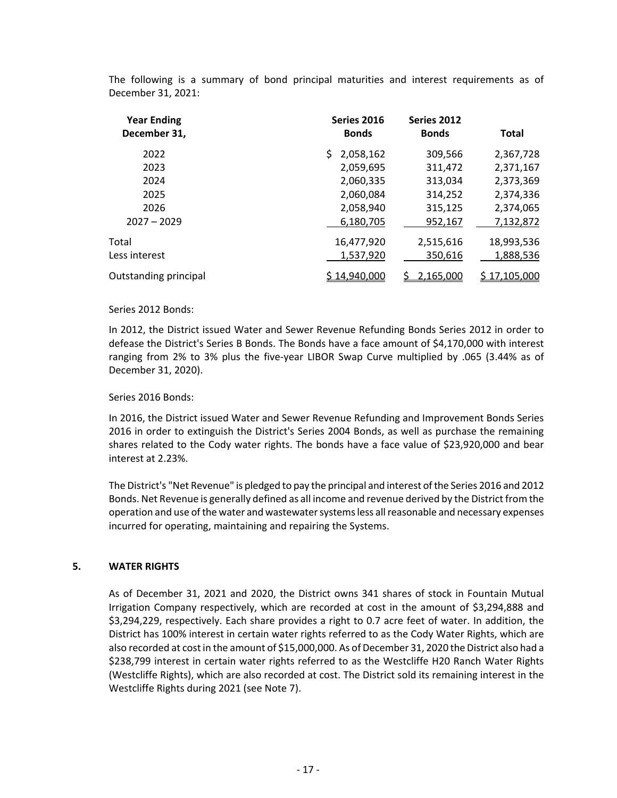The following is a summary of bond principal maturities and interest requirements as of December 31, 2021:

| <b>Year Ending</b>    | Series 2016         | Series 2012  |              |  |  |
|-----------------------|---------------------|--------------|--------------|--|--|
| December 31,          | <b>Bonds</b>        | <b>Bonds</b> | <b>Total</b> |  |  |
| 2022                  | 2,058,162<br>S.     | 309,566      | 2,367,728    |  |  |
| 2023                  | 2,059,695           | 311,472      | 2,371,167    |  |  |
| 2024                  | 2,060,335           | 313,034      | 2,373,369    |  |  |
| 2025                  | 2,060,084           | 314,252      | 2,374,336    |  |  |
| 2026                  | 2,058,940           | 315,125      | 2,374,065    |  |  |
| $2027 - 2029$         | 6,180,705           | 952,167      | 7,132,872    |  |  |
| Total                 | 16,477,920          | 2,515,616    | 18,993,536   |  |  |
| Less interest         | 1,537,920           | 350,616      | 1,888,536    |  |  |
| Outstanding principal | <u>\$14,940,000</u> | 2,165,000    | \$17,105,000 |  |  |

#### Series 2012 Bonds:

In 2012, the District issued Water and Sewer Revenue Refunding Bonds Series 2012 in order to defease the District's Series B Bonds. The Bonds have a face amount of \$4,170,000 with interest ranging from 2% to 3% plus the five‐year LIBOR Swap Curve multiplied by .065 (3.44% as of December 31, 2020).

#### Series 2016 Bonds:

In 2016, the District issued Water and Sewer Revenue Refunding and Improvement Bonds Series 2016 in order to extinguish the District's Series 2004 Bonds, as well as purchase the remaining shares related to the Cody water rights. The bonds have a face value of \$23,920,000 and bear interest at 2.23%.

The District's "Net Revenue" is pledged to pay the principal and interest ofthe Series 2016 and 2012 Bonds. Net Revenue is generally defined as all income and revenue derived by the District from the operation and use ofthe water and wastewatersystemsless allreasonable and necessary expenses incurred for operating, maintaining and repairing the Systems.

#### **5. WATER RIGHTS**

As of December 31, 2021 and 2020, the District owns 341 shares of stock in Fountain Mutual Irrigation Company respectively, which are recorded at cost in the amount of \$3,294,888 and \$3,294,229, respectively. Each share provides a right to 0.7 acre feet of water. In addition, the District has 100% interest in certain water rights referred to as the Cody Water Rights, which are also recorded at costin the amount of \$15,000,000. As of December 31, 2020 the District also had a \$238,799 interest in certain water rights referred to as the Westcliffe H20 Ranch Water Rights (Westcliffe Rights), which are also recorded at cost. The District sold its remaining interest in the Westcliffe Rights during 2021 (see Note 7).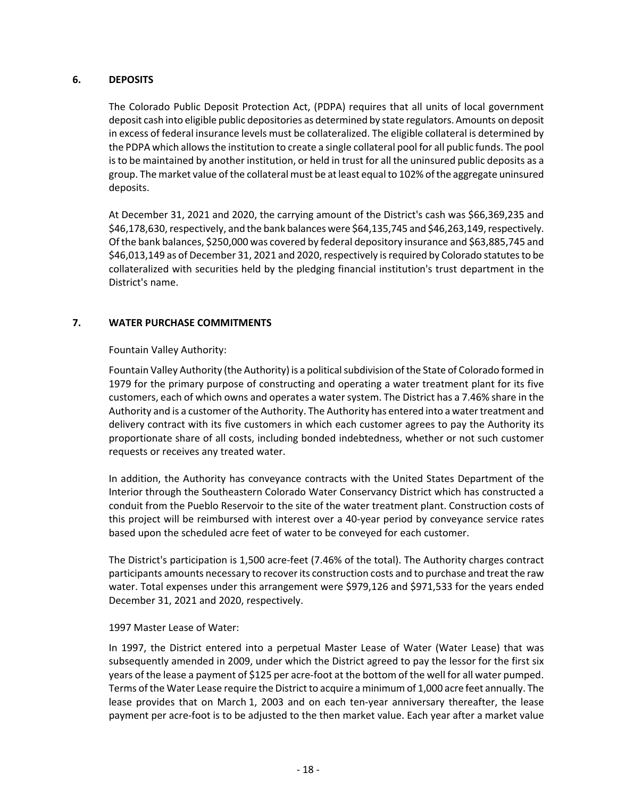#### **6. DEPOSITS**

The Colorado Public Deposit Protection Act, (PDPA) requires that all units of local government deposit cash into eligible public depositories as determined by state regulators. Amounts on deposit in excess of federal insurance levels must be collateralized. The eligible collateral is determined by the PDPA which allowsthe institution to create a single collateral pool for all public funds. The pool isto be maintained by another institution, or held in trust for all the uninsured public deposits as a group. The market value of the collateral must be at least equal to 102% of the aggregate uninsured deposits.

At December 31, 2021 and 2020, the carrying amount of the District's cash was \$66,369,235 and \$46,178,630, respectively, and the bank balances were  $$64,135,745$  and \$46,263,149, respectively. Of the bank balances, \$250,000 was covered by federal depository insurance and \$63,885,745 and \$46,013,149 as of December 31, 2021 and 2020, respectively is required by Colorado statutes to be collateralized with securities held by the pledging financial institution's trust department in the District's name.

### **7. WATER PURCHASE COMMITMENTS**

#### Fountain Valley Authority:

Fountain Valley Authority (the Authority) is a political subdivision of the State of Colorado formed in 1979 for the primary purpose of constructing and operating a water treatment plant for its five customers, each of which owns and operates a water system. The District has a 7.46% share in the Authority and is a customer of the Authority. The Authority has entered into a watertreatment and delivery contract with its five customers in which each customer agrees to pay the Authority its proportionate share of all costs, including bonded indebtedness, whether or not such customer requests or receives any treated water.

In addition, the Authority has conveyance contracts with the United States Department of the Interior through the Southeastern Colorado Water Conservancy District which has constructed a conduit from the Pueblo Reservoir to the site of the water treatment plant. Construction costs of this project will be reimbursed with interest over a 40‐year period by conveyance service rates based upon the scheduled acre feet of water to be conveyed for each customer.

The District's participation is 1,500 acre‐feet (7.46% of the total). The Authority charges contract participants amounts necessary to recover its construction costs and to purchase and treat the raw water. Total expenses under this arrangement were \$979,126 and \$971,533 for the years ended December 31, 2021 and 2020, respectively.

#### 1997 Master Lease of Water:

In 1997, the District entered into a perpetual Master Lease of Water (Water Lease) that was subsequently amended in 2009, under which the District agreed to pay the lessor for the first six years of the lease a payment of \$125 per acre‐foot at the bottom of the well for all water pumped. Terms of the Water Lease require the District to acquire a minimum of 1,000 acre feet annually. The lease provides that on March 1, 2003 and on each ten‐year anniversary thereafter, the lease payment per acre‐foot is to be adjusted to the then market value. Each year after a market value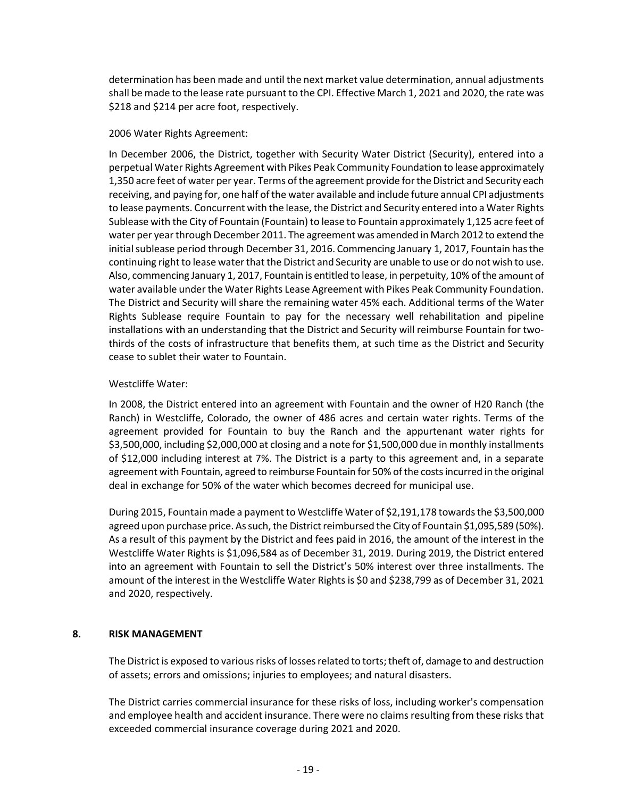determination has been made and until the next market value determination, annual adjustments shall be made to the lease rate pursuant to the CPI. Effective March 1, 2021 and 2020, the rate was \$218 and \$214 per acre foot, respectively.

#### 2006 Water Rights Agreement:

In December 2006, the District, together with Security Water District (Security), entered into a perpetual Water Rights Agreement with Pikes Peak Community Foundation to lease approximately 1,350 acre feet of water per year. Terms of the agreement provide for the District and Security each receiving, and paying for, one half of the water available and include future annual CPI adjustments to lease payments. Concurrent with the lease, the District and Security entered into a Water Rights Sublease with the City of Fountain (Fountain) to lease to Fountain approximately 1,125 acre feet of water per year through December 2011. The agreement was amended in March 2012 to extend the initial sublease period through December 31, 2016. Commencing January 1, 2017, Fountain has the continuing right to lease waterthat the District and Security are unable to use or do not wish to use. Also, commencing January 1, 2017, Fountain is entitled to lease, in perpetuity, 10% ofthe amount of water available under the Water Rights Lease Agreement with Pikes Peak Community Foundation. The District and Security will share the remaining water 45% each. Additional terms of the Water Rights Sublease require Fountain to pay for the necessary well rehabilitation and pipeline installations with an understanding that the District and Security will reimburse Fountain for twothirds of the costs of infrastructure that benefits them, at such time as the District and Security cease to sublet their water to Fountain.

### Westcliffe Water:

In 2008, the District entered into an agreement with Fountain and the owner of H20 Ranch (the Ranch) in Westcliffe, Colorado, the owner of 486 acres and certain water rights. Terms of the agreement provided for Fountain to buy the Ranch and the appurtenant water rights for \$3,500,000, including \$2,000,000 at closing and a note for \$1,500,000 due in monthly installments of \$12,000 including interest at 7%. The District is a party to this agreement and, in a separate agreement with Fountain, agreed to reimburse Fountain for 50% of the costs incurred in the original deal in exchange for 50% of the water which becomes decreed for municipal use.

During 2015, Fountain made a payment to Westcliffe Water of \$2,191,178 towards the \$3,500,000 agreed upon purchase price. As such, the District reimbursed the City of Fountain \$1,095,589 (50%). As a result of this payment by the District and fees paid in 2016, the amount of the interest in the Westcliffe Water Rights is \$1,096,584 as of December 31, 2019. During 2019, the District entered into an agreement with Fountain to sell the District's 50% interest over three installments. The amount of the interest in the Westcliffe Water Rights is \$0 and \$238,799 as of December 31, 2021 and 2020, respectively.

### **8. RISK MANAGEMENT**

The District is exposed to various risks of losses related to torts; theft of, damage to and destruction of assets; errors and omissions; injuries to employees; and natural disasters.

The District carries commercial insurance for these risks of loss, including worker's compensation and employee health and accident insurance. There were no claims resulting from these risks that exceeded commercial insurance coverage during 2021 and 2020.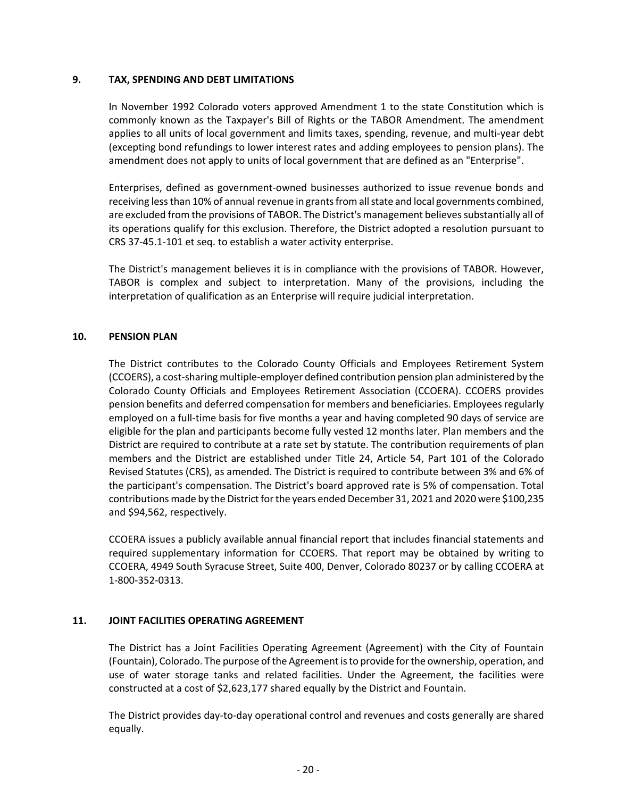#### **9. TAX, SPENDING AND DEBT LIMITATIONS**

In November 1992 Colorado voters approved Amendment 1 to the state Constitution which is commonly known as the Taxpayer's Bill of Rights or the TABOR Amendment. The amendment applies to all units of local government and limits taxes, spending, revenue, and multi‐year debt (excepting bond refundings to lower interest rates and adding employees to pension plans). The amendment does not apply to units of local government that are defined as an "Enterprise".

Enterprises, defined as government‐owned businesses authorized to issue revenue bonds and receiving less than 10% of annual revenue in grants from all state and local governments combined, are excluded from the provisions of TABOR. The District's management believessubstantially all of its operations qualify for this exclusion. Therefore, the District adopted a resolution pursuant to CRS 37‐45.1‐101 et seq. to establish a water activity enterprise.

The District's management believes it is in compliance with the provisions of TABOR. However, TABOR is complex and subject to interpretation. Many of the provisions, including the interpretation of qualification as an Enterprise will require judicial interpretation.

#### **10. PENSION PLAN**

The District contributes to the Colorado County Officials and Employees Retirement System (CCOERS), a cost‐sharing multiple‐employer defined contribution pension plan administered by the Colorado County Officials and Employees Retirement Association (CCOERA). CCOERS provides pension benefits and deferred compensation for members and beneficiaries. Employeesregularly employed on a full-time basis for five months a year and having completed 90 days of service are eligible for the plan and participants become fully vested 12 months later. Plan members and the District are required to contribute at a rate set by statute. The contribution requirements of plan members and the District are established under Title 24, Article 54, Part 101 of the Colorado Revised Statutes (CRS), as amended. The District is required to contribute between 3% and 6% of the participant's compensation. The District's board approved rate is 5% of compensation. Total contributions made by the District for the years ended December 31, 2021 and 2020 were \$100,235 and \$94,562, respectively.

CCOERA issues a publicly available annual financial report that includes financial statements and required supplementary information for CCOERS. That report may be obtained by writing to CCOERA, 4949 South Syracuse Street, Suite 400, Denver, Colorado 80237 or by calling CCOERA at 1‐800‐352‐0313.

#### **11. JOINT FACILITIES OPERATING AGREEMENT**

The District has a Joint Facilities Operating Agreement (Agreement) with the City of Fountain (Fountain), Colorado. The purpose ofthe Agreementisto provide forthe ownership, operation, and use of water storage tanks and related facilities. Under the Agreement, the facilities were constructed at a cost of \$2,623,177 shared equally by the District and Fountain.

The District provides day‐to‐day operational control and revenues and costs generally are shared equally.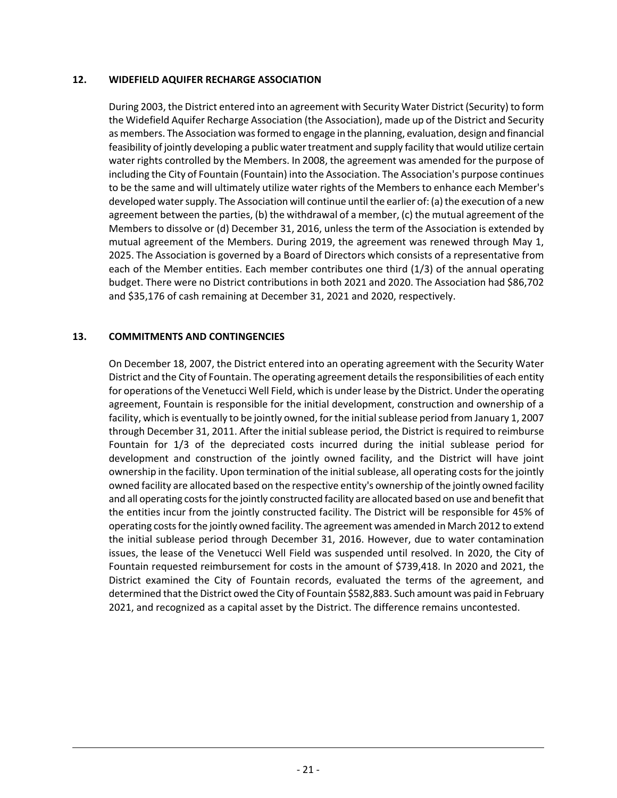### **12. WIDEFIELD AQUIFER RECHARGE ASSOCIATION**

During 2003, the District entered into an agreement with Security Water District (Security) to form the Widefield Aquifer Recharge Association (the Association), made up of the District and Security as members. The Association was formed to engage in the planning, evaluation, design and financial feasibility of jointly developing a public water treatment and supply facility that would utilize certain water rights controlled by the Members. In 2008, the agreement was amended for the purpose of including the City of Fountain (Fountain) into the Association. The Association's purpose continues to be the same and will ultimately utilize water rights of the Members to enhance each Member's developed water supply. The Association will continue until the earlier of: (a) the execution of a new agreement between the parties, (b) the withdrawal of a member, (c) the mutual agreement of the Members to dissolve or (d) December 31, 2016, unless the term of the Association is extended by mutual agreement of the Members. During 2019, the agreement was renewed through May 1, 2025. The Association is governed by a Board of Directors which consists of a representative from each of the Member entities. Each member contributes one third (1/3) of the annual operating budget. There were no District contributions in both 2021 and 2020. The Association had \$86,702 and \$35,176 of cash remaining at December 31, 2021 and 2020, respectively.

### **13. COMMITMENTS AND CONTINGENCIES**

On December 18, 2007, the District entered into an operating agreement with the Security Water District and the City of Fountain. The operating agreement detailsthe responsibilities of each entity for operations of the Venetucci Well Field, which is under lease by the District. Under the operating agreement, Fountain is responsible for the initial development, construction and ownership of a facility, which is eventually to be jointly owned, for the initial sublease period from January 1, 2007 through December 31, 2011. After the initial sublease period, the District is required to reimburse Fountain for 1/3 of the depreciated costs incurred during the initial sublease period for development and construction of the jointly owned facility, and the District will have joint ownership in the facility. Upon termination of the initial sublease, all operating costs for the jointly owned facility are allocated based on the respective entity's ownership of the jointly owned facility and all operating costs for the jointly constructed facility are allocated based on use and benefit that the entities incur from the jointly constructed facility. The District will be responsible for 45% of operating costs for the jointly owned facility. The agreement was amended in March 2012 to extend the initial sublease period through December 31, 2016. However, due to water contamination issues, the lease of the Venetucci Well Field was suspended until resolved. In 2020, the City of Fountain requested reimbursement for costs in the amount of \$739,418. In 2020 and 2021, the District examined the City of Fountain records, evaluated the terms of the agreement, and determined that the District owed the City of Fountain \$582,883. Such amount was paid in February 2021, and recognized as a capital asset by the District. The difference remains uncontested.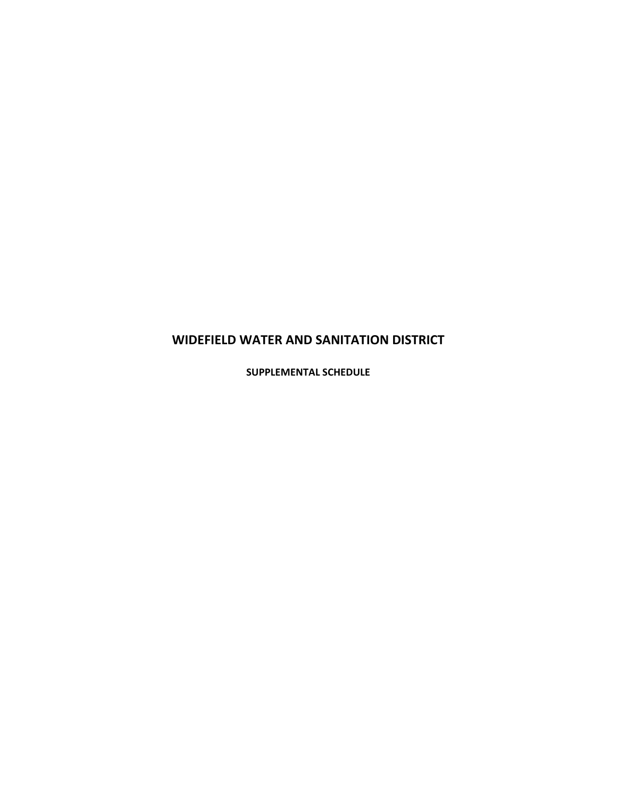**SUPPLEMENTAL SCHEDULE**